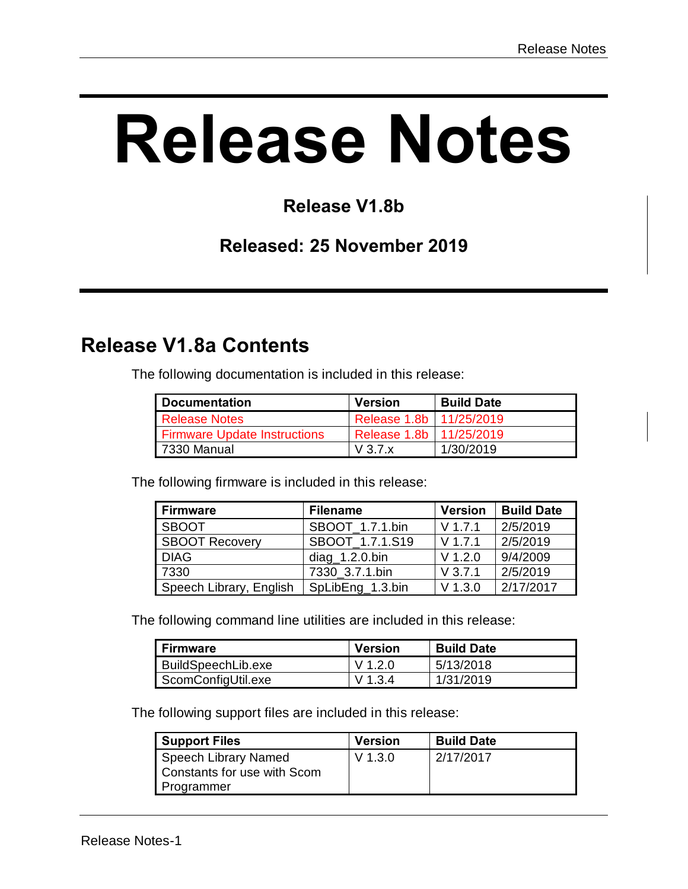# **Release Notes**

#### **Release V1.8b**

#### **Released: 25 November 2019**

# **Release V1.8a Contents**

The following documentation is included in this release:

| Documentation                       | <b>Version</b>            | <b>Build Date</b> |
|-------------------------------------|---------------------------|-------------------|
| <b>Release Notes</b>                | Release 1.8b   11/25/2019 |                   |
| <b>Firmware Update Instructions</b> | Release 1.8b   11/25/2019 |                   |
| 7330 Manual                         | $V$ 3.7. $x$              | 1/30/2019         |

The following firmware is included in this release:

| <b>Firmware</b>         | <b>Filename</b>   | <b>Version</b> | <b>Build Date</b>  |
|-------------------------|-------------------|----------------|--------------------|
| <b>SBOOT</b>            | SBOOT 1.7.1.bin   | $V$ 1.7.1      | 2/5/2019           |
| <b>SBOOT Recovery</b>   | SBOOT 1.7.1.S19   | $V$ 1.7.1      | 2/5/2019           |
| <b>DIAG</b>             | $diag_1.2.0$ .bin | $V$ 1.2.0      | 9/4/2009           |
| 7330                    | 7330 3.7.1.bin    | $V$ 3.7.1      | 2/5/2019           |
| Speech Library, English | SpLibEng_1.3.bin  | $V$ 1.3.0      | $\sqrt{2/17/2017}$ |

The following command line utilities are included in this release:

| <b>Firmware</b>           | <b>Version</b> | <b>Build Date</b> |
|---------------------------|----------------|-------------------|
| <b>BuildSpeechLib.exe</b> | V 1.2.0        | 5/13/2018         |
| ScomConfigUtil.exe        | V 1.3.4        | 1/31/2019         |

The following support files are included in this release:

| <b>Support Files</b>                                              | <b>Version</b> | <b>Build Date</b> |
|-------------------------------------------------------------------|----------------|-------------------|
| Speech Library Named<br>Constants for use with Scom<br>Programmer | $V$ 1.3.0      | 2/17/2017         |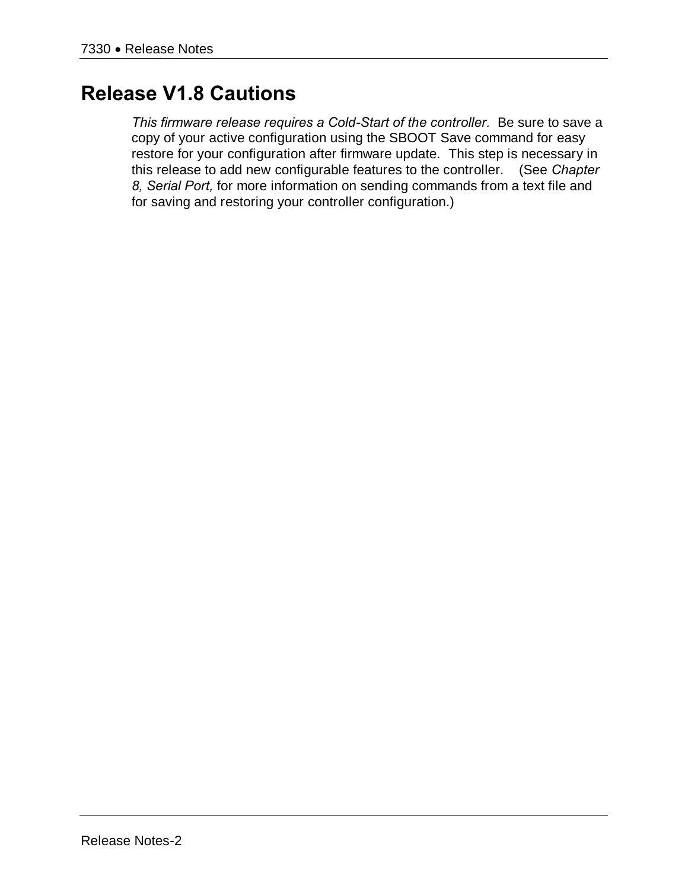# **Release V1.8 Cautions**

*This firmware release requires a Cold-Start of the controller.* Be sure to save a copy of your active configuration using the SBOOT Save command for easy restore for your configuration after firmware update. This step is necessary in this release to add new configurable features to the controller. (See *Chapter 8, Serial Port,* for more information on sending commands from a text file and for saving and restoring your controller configuration.)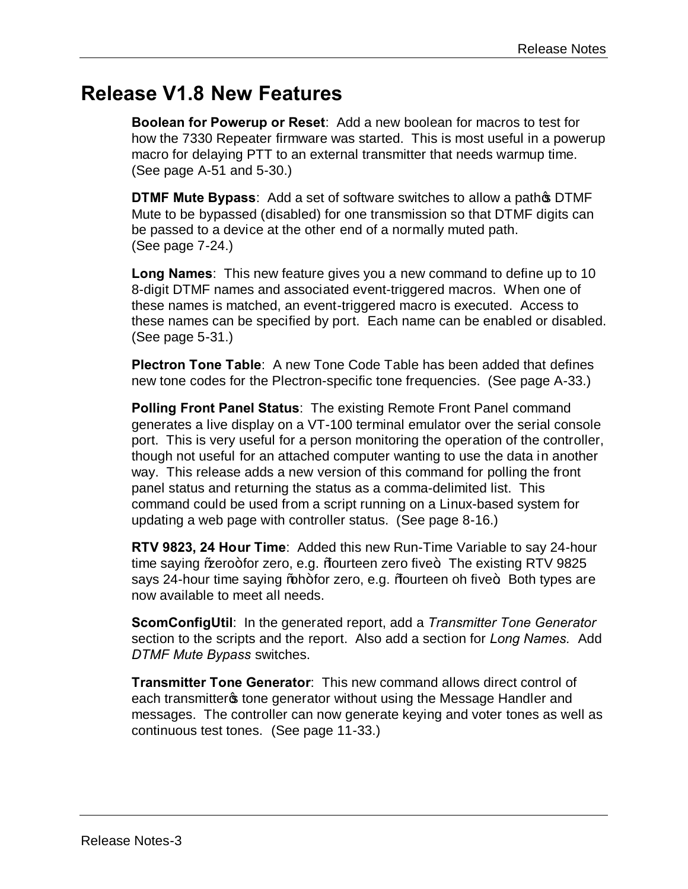#### **Release V1.8 New Features**

**Boolean for Powerup or Reset**: Add a new boolean for macros to test for how the 7330 Repeater firmware was started. This is most useful in a powerup macro for delaying PTT to an external transmitter that needs warmup time. (See page A-51 and 5-30.)

**DTMF Mute Bypass:** Add a set of software switches to allow a pathos DTMF Mute to be bypassed (disabled) for one transmission so that DTMF digits can be passed to a device at the other end of a normally muted path. (See page 7-24.)

**Long Names**: This new feature gives you a new command to define up to 10 8-digit DTMF names and associated event-triggered macros. When one of these names is matched, an event-triggered macro is executed. Access to these names can be specified by port. Each name can be enabled or disabled. (See page 5-31.)

**Plectron Tone Table**: A new Tone Code Table has been added that defines new tone codes for the Plectron-specific tone frequencies. (See page A-33.)

**Polling Front Panel Status**: The existing Remote Front Panel command generates a live display on a VT-100 terminal emulator over the serial console port. This is very useful for a person monitoring the operation of the controller, though not useful for an attached computer wanting to use the data in another way. This release adds a new version of this command for polling the front panel status and returning the status as a comma-delimited list. This command could be used from a script running on a Linux-based system for updating a web page with controller status. (See page 8-16.)

**RTV 9823, 24 Hour Time**: Added this new Run-Time Variable to say 24-hour time saying % acro+for zero, e.g. % burteen zero five+. The existing RTV 9825 says 24-hour time saying % ah+for zero, e.g. % fourteen oh five +. Both types are now available to meet all needs.

**ScomConfigUtil**: In the generated report, add a *Transmitter Tone Generator* section to the scripts and the report. Also add a section for *Long Names.* Add *DTMF Mute Bypass* switches.

**Transmitter Tone Generator**: This new command allows direct control of each transmitter tone generator without using the Message Handler and messages. The controller can now generate keying and voter tones as well as continuous test tones. (See page 11-33.)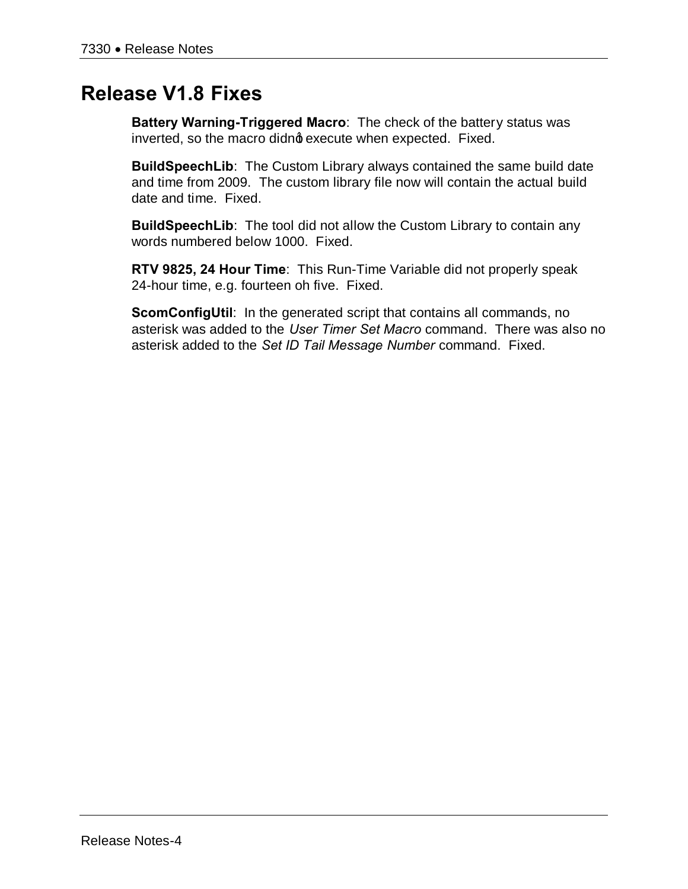# **Release V1.8 Fixes**

**Battery Warning-Triggered Macro**: The check of the battery status was inverted, so the macro didno execute when expected. Fixed.

**BuildSpeechLib**: The Custom Library always contained the same build date and time from 2009. The custom library file now will contain the actual build date and time. Fixed.

**BuildSpeechLib**: The tool did not allow the Custom Library to contain any words numbered below 1000. Fixed.

**RTV 9825, 24 Hour Time**: This Run-Time Variable did not properly speak 24-hour time, e.g. fourteen oh five. Fixed.

**ScomConfigUtil:** In the generated script that contains all commands, no asterisk was added to the *User Timer Set Macro* command. There was also no asterisk added to the *Set ID Tail Message Number* command. Fixed.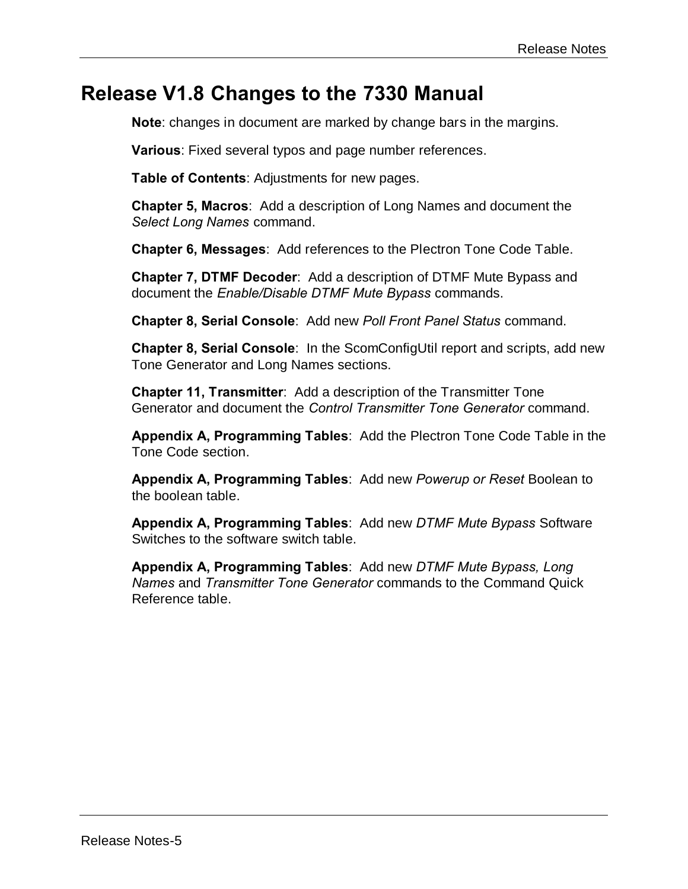#### **Release V1.8 Changes to the 7330 Manual**

**Note**: changes in document are marked by change bars in the margins.

**Various**: Fixed several typos and page number references.

**Table of Contents**: Adjustments for new pages.

**Chapter 5, Macros**: Add a description of Long Names and document the *Select Long Names* command.

**Chapter 6, Messages**: Add references to the Plectron Tone Code Table.

**Chapter 7, DTMF Decoder**: Add a description of DTMF Mute Bypass and document the *Enable/Disable DTMF Mute Bypass* commands.

**Chapter 8, Serial Console**: Add new *Poll Front Panel Status* command.

**Chapter 8, Serial Console**: In the ScomConfigUtil report and scripts, add new Tone Generator and Long Names sections.

**Chapter 11, Transmitter**: Add a description of the Transmitter Tone Generator and document the *Control Transmitter Tone Generator* command.

**Appendix A, Programming Tables**: Add the Plectron Tone Code Table in the Tone Code section.

**Appendix A, Programming Tables**: Add new *Powerup or Reset* Boolean to the boolean table.

**Appendix A, Programming Tables**: Add new *DTMF Mute Bypass* Software Switches to the software switch table.

**Appendix A, Programming Tables**: Add new *DTMF Mute Bypass, Long Names* and *Transmitter Tone Generator* commands to the Command Quick Reference table.